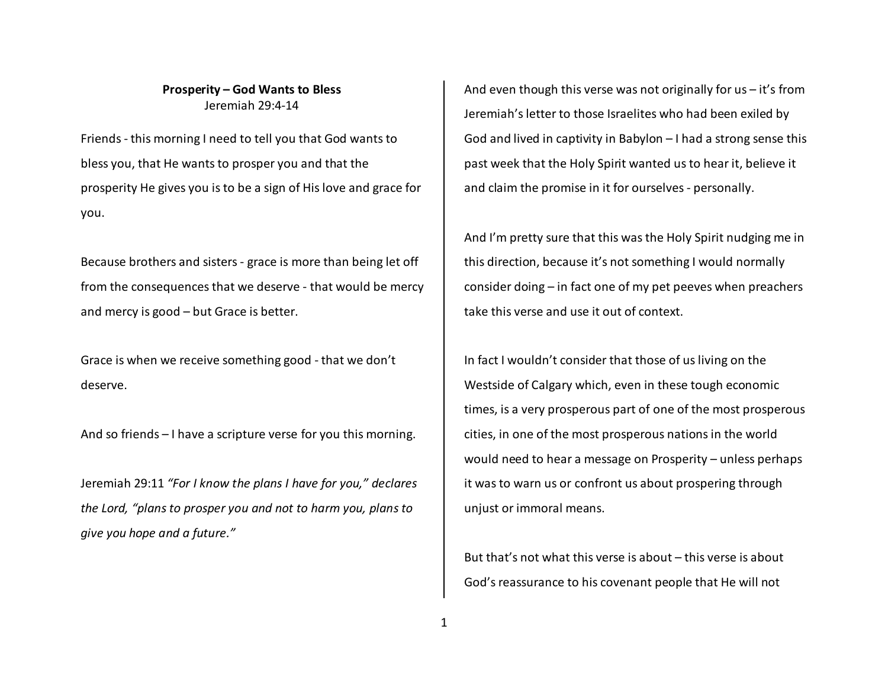## **Prosperity – God Wants to Bless** Jeremiah 29:4-14

Friends - this morning I need to tell you that God wants to bless you, that He wants to prosper you and that theprosperity He gives you is to be a sign of His love and grace for you.

Because brothers and sisters - grace is more than being let off from the consequences that we deserve - that would be mercy and mercy is good – but Grace is better.

Grace is when we receive something good - that we don't deserve.

And so friends – I have a scripture verse for you this morning.

Jeremiah 29:11 *"For I know the plans I have for you," declares the Lord, "plans to prosper you and not to harm you, plans to give you hope and a future."*

And even though this verse was not originally for us – it's from Jeremiah's letter to those Israelites who had been exiled by God and lived in captivity in Babylon – I had a strong sense this past week that the Holy Spirit wanted us to hear it, believe it and claim the promise in it for ourselves - personally.

And I'm pretty sure that this was the Holy Spirit nudging me in this direction, because it's not something I would normally consider doing – in fact one of my pet peeves when preachers take this verse and use it out of context.

In fact I wouldn't consider that those of us living on the Westside of Calgary which, even in these tough economic times, is a very prosperous part of one of the most prosperous cities, in one of the most prosperous nations in the world would need to hear a message on Prosperity – unless perhaps it was to warn us or confront us about prospering through unjust or immoral means.

But that's not what this verse is about – this verse is about God's reassurance to his covenant people that He will not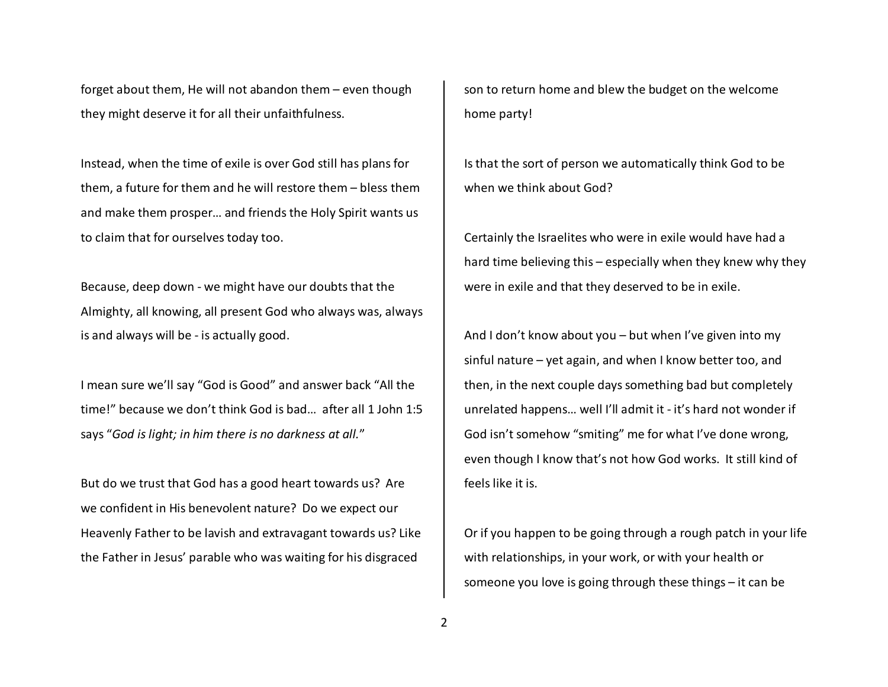forget about them, He will not abandon them – even though they might deserve it for all their unfaithfulness.

Instead, when the time of exile is over God still has plans for them, a future for them and he will restore them – bless them and make them prosper… and friends the Holy Spirit wants us to claim that for ourselves today too.

Because, deep down - we might have our doubts that the Almighty, all knowing, all present God who always was, always is and always will be - is actually good.

I mean sure we'll say "God is Good" and answer back "All the time!" because we don't think God is bad… after all 1 John 1:5 says "*God is light; in him there is no darkness at all.*"

But do we trust that God has a good heart towards us? Are we confident in His benevolent nature? Do we expect our Heavenly Father to be lavish and extravagant towards us? Like the Father in Jesus' parable who was waiting for his disgraced

son to return home and blew the budget on the welcome home party!

Is that the sort of person we automatically think God to be when we think about God?

Certainly the Israelites who were in exile would have had a hard time believing this – especially when they knew why they were in exile and that they deserved to be in exile.

And I don't know about you – but when I've given into my sinful nature – yet again, and when I know better too, and then, in the next couple days something bad but completely unrelated happens… well I'll admit it - it's hard not wonder if God isn't somehow "smiting" me for what I've done wrong, even though I know that's not how God works. It still kind of feels like it is.

Or if you happen to be going through a rough patch in your life with relationships, in your work, or with your health or someone you love is going through these things – it can be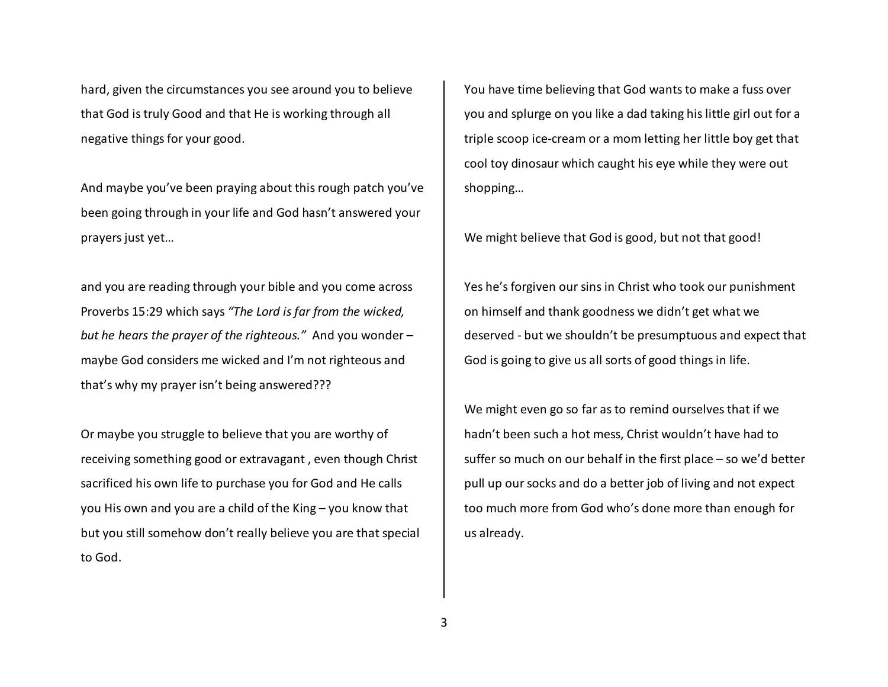hard, given the circumstances you see around you to believe that God is truly Good and that He is working through all negative things for your good.

And maybe you've been praying about this rough patch you've been going through in your life and God hasn't answered your prayers just yet…

and you are reading through your bible and you come across Proverbs 15:29 which says *"The Lord is far from the wicked, but he hears the prayer of the righteous."* And you wonder – maybe God considers me wicked and I'm not righteous and that's why my prayer isn't being answered???

Or maybe you struggle to believe that you are worthy of receiving something good or extravagant , even though Christ sacrificed his own life to purchase you for God and He calls you His own and you are a child of the King – you know that but you still somehow don't really believe you are that special to God.

You have time believing that God wants to make a fuss over you and splurge on you like a dad taking his little girl out for a triple scoop ice-cream or a mom letting her little boy get that cool toy dinosaur which caught his eye while they were out shopping…

We might believe that God is good, but not that good!

Yes he's forgiven our sins in Christ who took our punishment on himself and thank goodness we didn't get what we deserved - but we shouldn't be presumptuous and expect that God is going to give us all sorts of good things in life.

We might even go so far as to remind ourselves that if we hadn't been such a hot mess, Christ wouldn't have had to suffer so much on our behalf in the first place – so we'd better pull up our socks and do a better job of living and not expect too much more from God who's done more than enough for us already.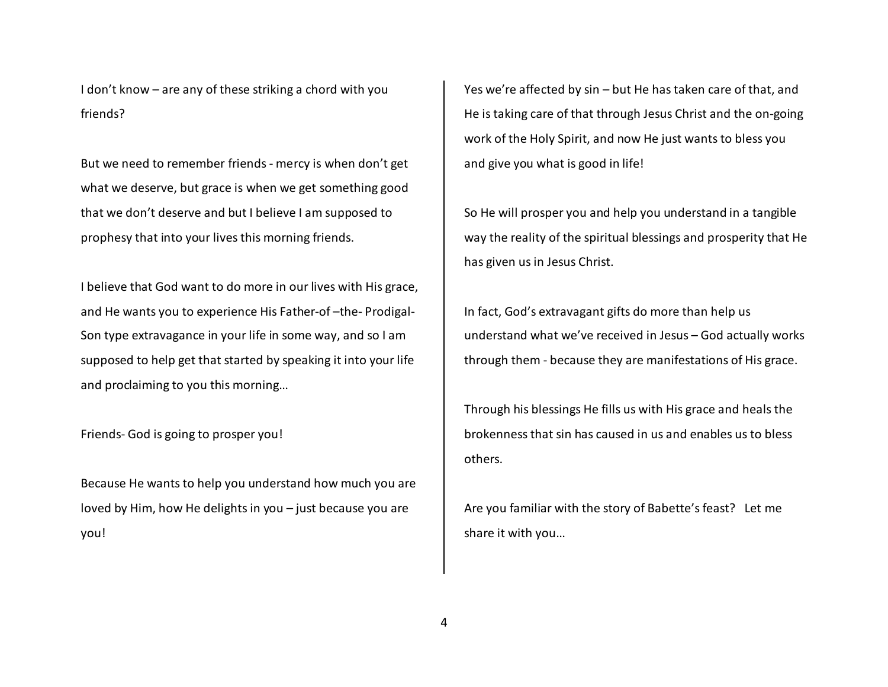I don't know – are any of these striking a chord with you friends?

But we need to remember friends - mercy is when don't get what we deserve, but grace is when we get something good that we don't deserve and but I believe I am supposed to prophesy that into your lives this morning friends.

I believe that God want to do more in our lives with His grace, and He wants you to experience His Father-of –the- Prodigal-Son type extravagance in your life in some way, and so I am supposed to help get that started by speaking it into your life and proclaiming to you this morning…

Friends- God is going to prosper you!

Because He wants to help you understand how much you are loved by Him, how He delights in you – just because you are you!

Yes we're affected by sin – but He has taken care of that, and He is taking care of that through Jesus Christ and the on-going work of the Holy Spirit, and now He just wants to bless you and give you what is good in life!

So He will prosper you and help you understand in a tangible way the reality of the spiritual blessings and prosperity that He has given us in Jesus Christ.

In fact, God's extravagant gifts do more than help us understand what we've received in Jesus – God actually works through them - because they are manifestations of His grace.

Through his blessings He fills us with His grace and heals the brokenness that sin has caused in us and enables us to bless others.

Are you familiar with the story of Babette's feast? Let me share it with you…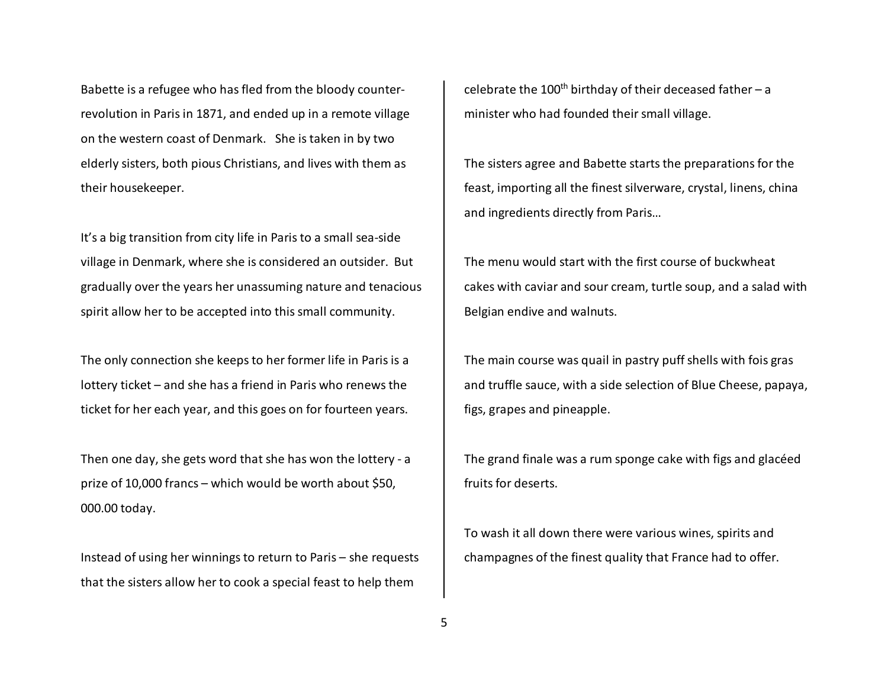Babette is a refugee who has fled from the bloody counterrevolution in Paris in 1871, and ended up in a remote village on the western coast of Denmark. She is taken in by two elderly sisters, both pious Christians, and lives with them as their housekeeper.

It's a big transition from city life in Paris to a small sea-side village in Denmark, where she is considered an outsider. But gradually over the years her unassuming nature and tenacious spirit allow her to be accepted into this small community.

The only connection she keeps to her former life in Paris is a lottery ticket – and she has a friend in Paris who renews the ticket for her each year, and this goes on for fourteen years.

Then one day, she gets word that she has won the lottery - a prize of 10,000 francs – which would be worth about \$50, 000.00 today.

Instead of using her winnings to return to Paris – she requests that the sisters allow her to cook a special feast to help them

celebrate the 100<sup>th</sup> birthday of their deceased father – a minister who had founded their small village.

The sisters agree and Babette starts the preparations for the feast, importing all the finest silverware, crystal, linens, china and ingredients directly from Paris…

The menu would start with the first course of buckwheat cakes with caviar and sour cream, turtle soup, and a salad with Belgian endive and walnuts.

The main course was quail in pastry puff shells with fois gras and truffle sauce, with a side selection of Blue Cheese, papaya, figs, grapes and pineapple.

The grand finale was a rum sponge cake with figs and glacéed fruits for deserts.

To wash it all down there were various wines, spirits and champagnes of the finest quality that France had to offer.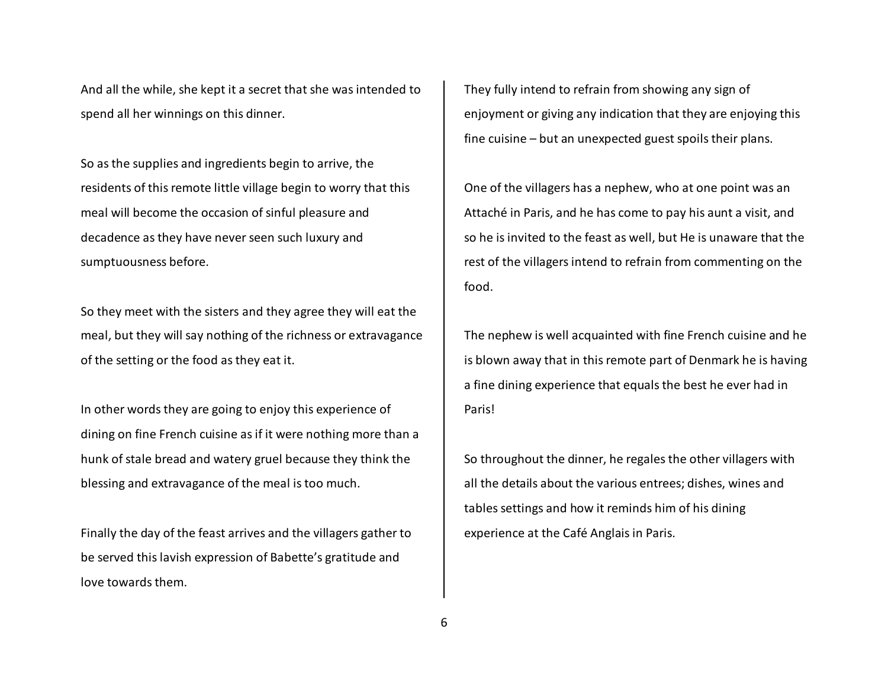And all the while, she kept it a secret that she was intended to spend all her winnings on this dinner.

So as the supplies and ingredients begin to arrive, the residents of this remote little village begin to worry that this meal will become the occasion of sinful pleasure and decadence as they have never seen such luxury and sumptuousness before.

So they meet with the sisters and they agree they will eat the meal, but they will say nothing of the richness or extravagance of the setting or the food as they eat it.

In other words they are going to enjoy this experience of dining on fine French cuisine as if it were nothing more than a hunk of stale bread and watery gruel because they think the blessing and extravagance of the meal is too much.

Finally the day of the feast arrives and the villagers gather to be served this lavish expression of Babette's gratitude and love towards them.

They fully intend to refrain from showing any sign of enjoyment or giving any indication that they are enjoying this fine cuisine – but an unexpected guest spoils their plans.

One of the villagers has a nephew, who at one point was an Attaché in Paris, and he has come to pay his aunt a visit, and so he is invited to the feast as well, but He is unaware that the rest of the villagers intend to refrain from commenting on the food.

The nephew is well acquainted with fine French cuisine and he is blown away that in this remote part of Denmark he is having a fine dining experience that equals the best he ever had in Paris!

So throughout the dinner, he regales the other villagers with all the details about the various entrees; dishes, wines and tables settings and how it reminds him of his dining experience at the Café Anglais in Paris.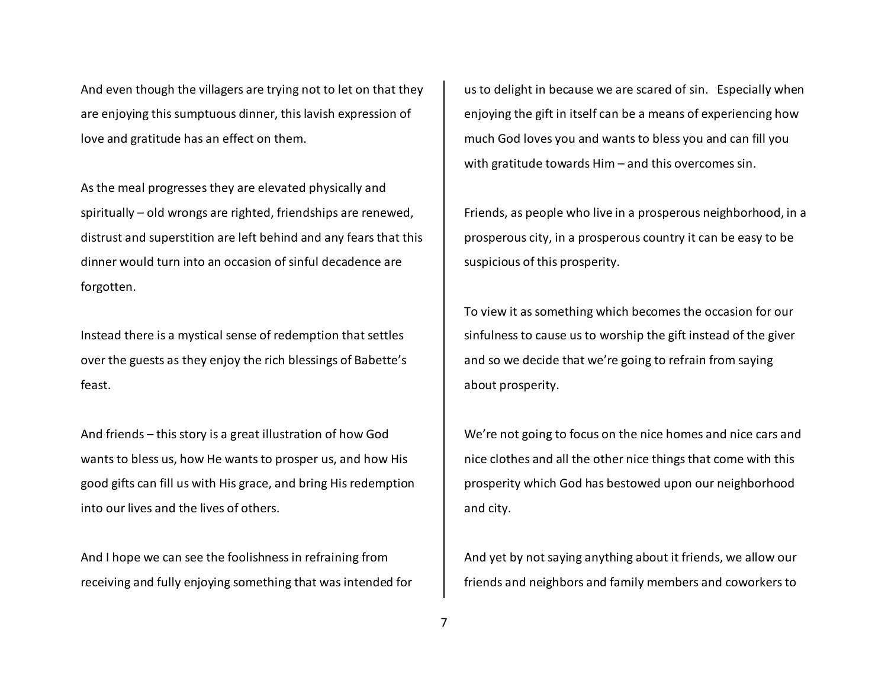And even though the villagers are trying not to let on that they are enjoying this sumptuous dinner, this lavish expression of love and gratitude has an effect on them.

As the meal progresses they are elevated physically and spiritually – old wrongs are righted, friendships are renewed, distrust and superstition are left behind and any fears that this dinner would turn into an occasion of sinful decadence are forgotten.

Instead there is a mystical sense of redemption that settles over the guests as they enjoy the rich blessings of Babette's feast.

And friends – this story is a great illustration of how God wants to bless us, how He wants to prosper us, and how His good gifts can fill us with His grace, and bring His redemption into our lives and the lives of others.

And I hope we can see the foolishness in refraining from receiving and fully enjoying something that was intended for us to delight in because we are scared of sin. Especially when enjoying the gift in itself can be a means of experiencing how much God loves you and wants to bless you and can fill you with gratitude towards Him – and this overcomes sin.

Friends, as people who live in a prosperous neighborhood, in a prosperous city, in a prosperous country it can be easy to be suspicious of this prosperity.

To view it as something which becomes the occasion for our sinfulness to cause us to worship the gift instead of the giver and so we decide that we're going to refrain from saying about prosperity.

We're not going to focus on the nice homes and nice cars and nice clothes and all the other nice things that come with this prosperity which God has bestowed upon our neighborhood and city.

And yet by not saying anything about it friends, we allow our friends and neighbors and family members and coworkers to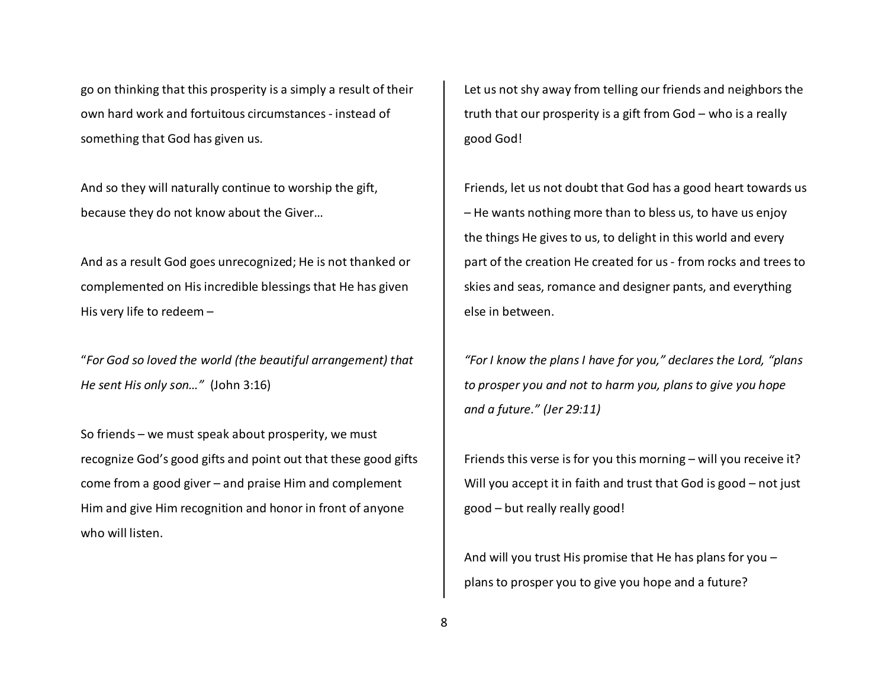go on thinking that this prosperity is a simply a result of their own hard work and fortuitous circumstances - instead of something that God has given us.

And so they will naturally continue to worship the gift, because they do not know about the Giver…

And as a result God goes unrecognized; He is not thanked or complemented on His incredible blessings that He has given His very life to redeem –

"*For God so loved the world (the beautiful arrangement) that He sent His only son…"* (John 3:16)

So friends – we must speak about prosperity, we mustrecognize God's good gifts and point out that these good gifts come from a good giver – and praise Him and complement Him and give Him recognition and honor in front of anyone who will listen.

Let us not shy away from telling our friends and neighbors the truth that our prosperity is a gift from God – who is a really good God!

Friends, let us not doubt that God has a good heart towards us – He wants nothing more than to bless us, to have us enjoy the things He gives to us, to delight in this world and every part of the creation He created for us - from rocks and trees to skies and seas, romance and designer pants, and everything else in between.

*"For I know the plans I have for you," declares the Lord, "plans to prosper you and not to harm you, plans to give you hope and a future." (Jer 29:11)*

Friends this verse is for you this morning – will you receive it? Will you accept it in faith and trust that God is good – not just good – but really really good!

And will you trust His promise that He has plans for you – plans to prosper you to give you hope and a future?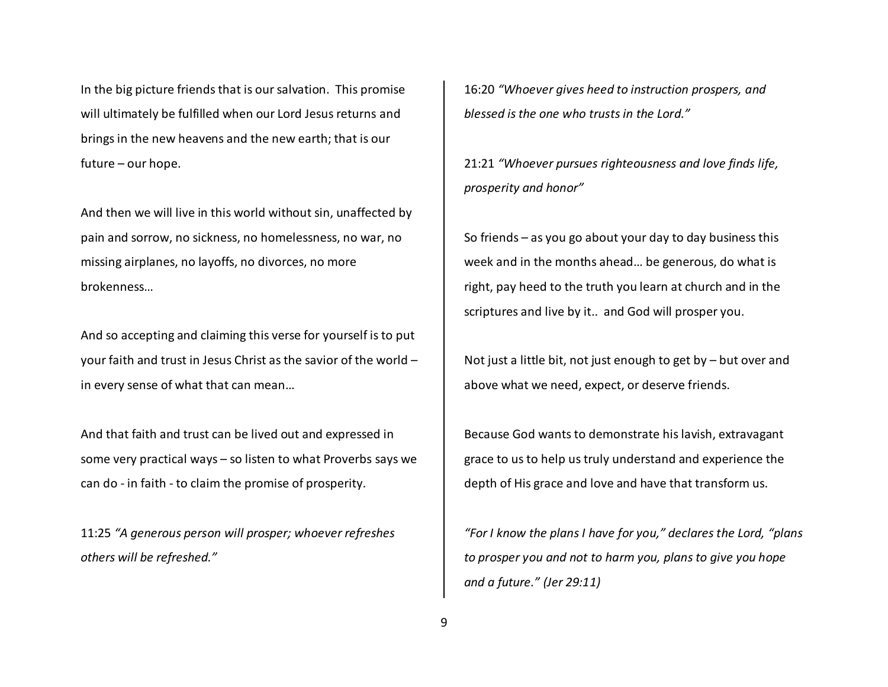In the big picture friends that is our salvation. This promise will ultimately be fulfilled when our Lord Jesus returns and brings in the new heavens and the new earth; that is our future – our hope.

And then we will live in this world without sin, unaffected by pain and sorrow, no sickness, no homelessness, no war, no missing airplanes, no layoffs, no divorces, no more brokenness…

And so accepting and claiming this verse for yourself is to put your faith and trust in Jesus Christ as the savior of the world – in every sense of what that can mean…

And that faith and trust can be lived out and expressed in some very practical ways – so listen to what Proverbs says we can do - in faith - to claim the promise of prosperity.

11:25 *"A generous person will prosper; whoever refreshes others will be refreshed."* 

16:20 *"Whoever gives heed to instruction prospers, and blessed is the one who trusts in the Lord."*

21:21 *"Whoever pursues righteousness and love finds life,prosperity and honor"*

So friends – as you go about your day to day business this week and in the months ahead… be generous, do what is right, pay heed to the truth you learn at church and in the scriptures and live by it.. and God will prosper you.

Not just a little bit, not just enough to get by – but over and above what we need, expect, or deserve friends.

Because God wants to demonstrate his lavish, extravagant grace to us to help us truly understand and experience the depth of His grace and love and have that transform us.

*"For I know the plans I have for you," declares the Lord, "plans to prosper you and not to harm you, plans to give you hope and a future." (Jer 29:11)*